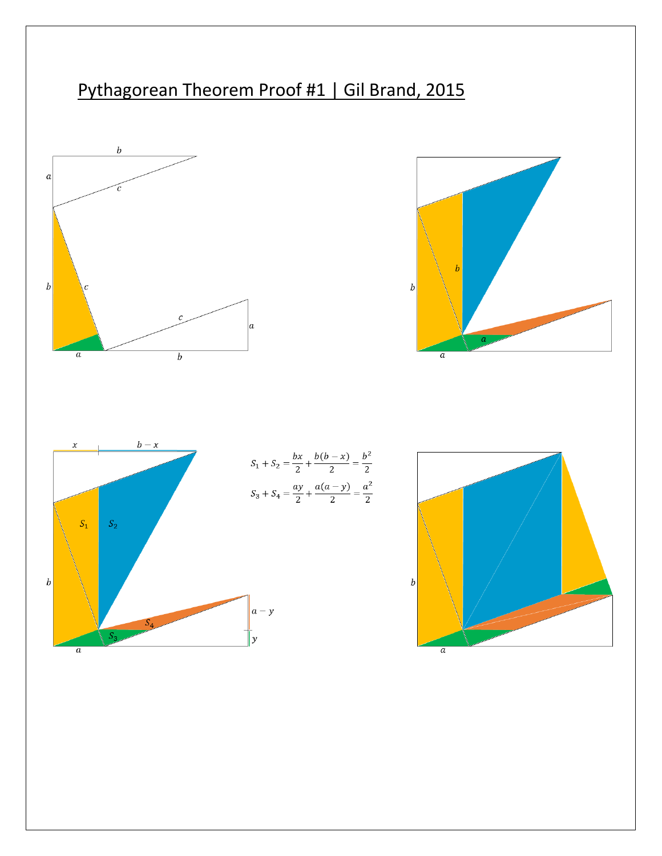# Pythagorean Theorem Proof #1 | Gil Brand, 2015







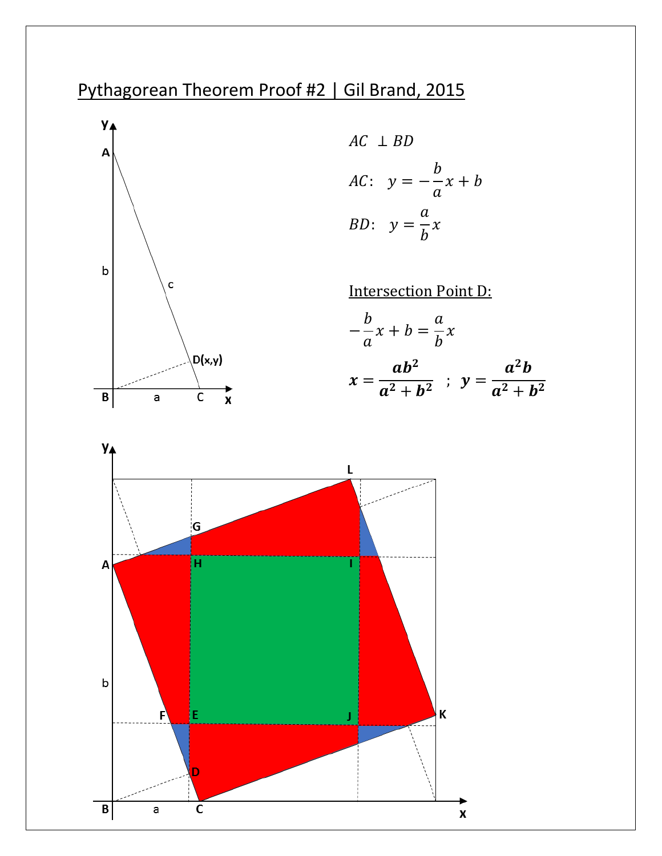## Pythagorean Theorem Proof #2 | Gil Brand, 2015